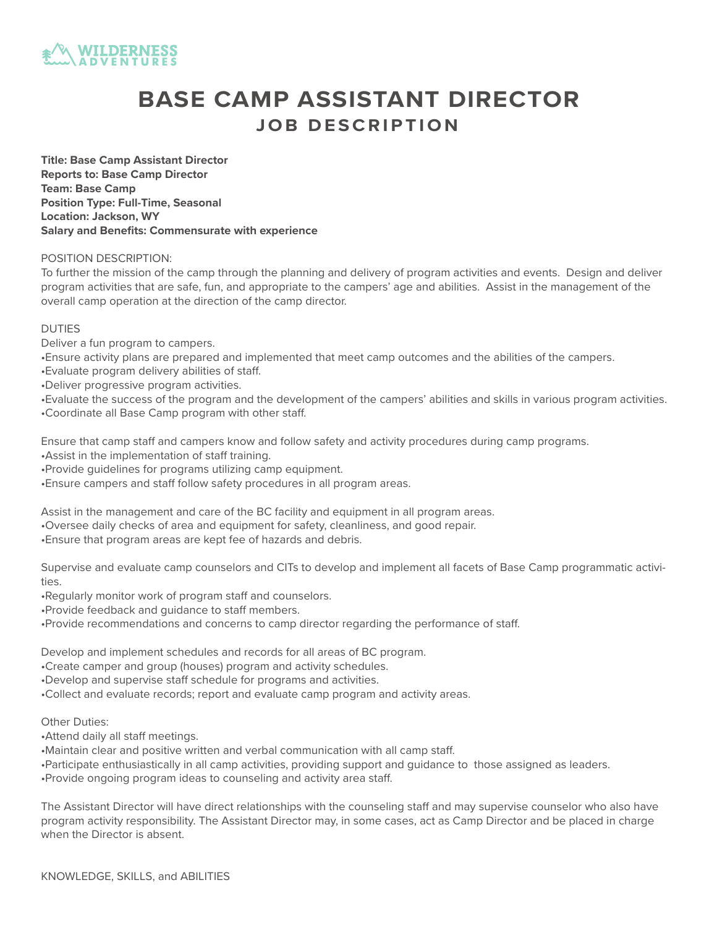

# **BASE CAMP ASSISTANT DIRECTOR JOB DESCRIPTION**

**Title: Base Camp Assistant Director Reports to: Base Camp Director Team: Base Camp Position Type: Full-Time, Seasonal Location: Jackson, WY Salary and Benefits: Commensurate with experience**

#### POSITION DESCRIPTION:

To further the mission of the camp through the planning and delivery of program activities and events. Design and deliver program activities that are safe, fun, and appropriate to the campers' age and abilities. Assist in the management of the overall camp operation at the direction of the camp director.

#### DUTIES

- Deliver a fun program to campers.
- •Ensure activity plans are prepared and implemented that meet camp outcomes and the abilities of the campers.
- •Evaluate program delivery abilities of staff.
- •Deliver progressive program activities.
- •Evaluate the success of the program and the development of the campers' abilities and skills in various program activities. •Coordinate all Base Camp program with other staff.

Ensure that camp staff and campers know and follow safety and activity procedures during camp programs.

- •Assist in the implementation of staff training.
- •Provide guidelines for programs utilizing camp equipment.
- •Ensure campers and staff follow safety procedures in all program areas.

Assist in the management and care of the BC facility and equipment in all program areas.

- •Oversee daily checks of area and equipment for safety, cleanliness, and good repair.
- •Ensure that program areas are kept fee of hazards and debris.

Supervise and evaluate camp counselors and CITs to develop and implement all facets of Base Camp programmatic activities.

- •Regularly monitor work of program staff and counselors.
- •Provide feedback and guidance to staff members.
- •Provide recommendations and concerns to camp director regarding the performance of staff.

Develop and implement schedules and records for all areas of BC program.

- •Create camper and group (houses) program and activity schedules.
- •Develop and supervise staff schedule for programs and activities.
- •Collect and evaluate records; report and evaluate camp program and activity areas.

### Other Duties:

•Attend daily all staff meetings.

•Maintain clear and positive written and verbal communication with all camp staff.

•Participate enthusiastically in all camp activities, providing support and guidance to those assigned as leaders.

•Provide ongoing program ideas to counseling and activity area staff.

The Assistant Director will have direct relationships with the counseling staff and may supervise counselor who also have program activity responsibility. The Assistant Director may, in some cases, act as Camp Director and be placed in charge when the Director is absent.